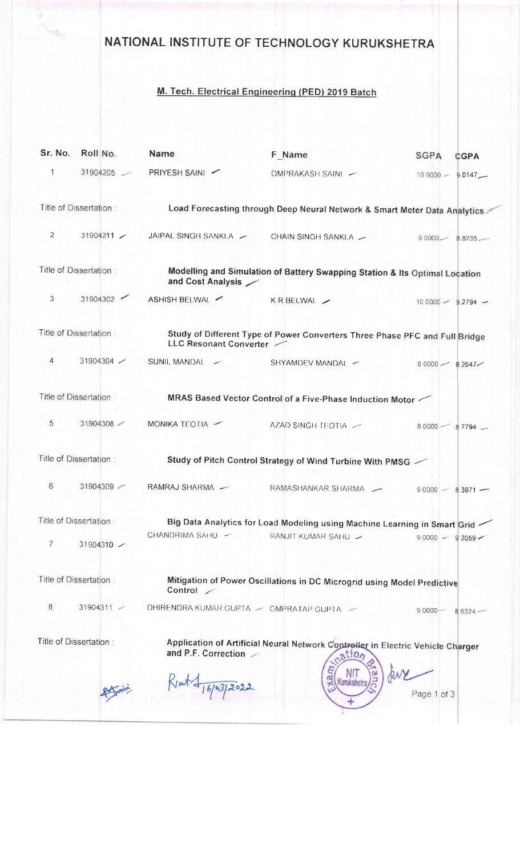## NATIONAL INSTITUTE OF TECHNOLOGY KURUKSHETRA

## M. Tech. Electrical Engineering (PED) 2019 Batch

| Sr. No.                 | Roll No.                             | <b>Name</b>                                                                                      | F Name                                                                                                              | <b>SGPA</b><br><b>CGPA</b> |  |  |  |
|-------------------------|--------------------------------------|--------------------------------------------------------------------------------------------------|---------------------------------------------------------------------------------------------------------------------|----------------------------|--|--|--|
| 1                       | 31904205                             | PRIYESH SAINI                                                                                    | OMPRAKASH SAINI -                                                                                                   | $10.0000 -$<br>$9.0147 -$  |  |  |  |
| Title of Dissertation : |                                      | Load Forecasting through Deep Neural Network & Smart Meter Data Analytics                        |                                                                                                                     |                            |  |  |  |
| $\mathbf{2}$            | 31904211                             | JAIPAL SINGH SANKLA -                                                                            | CHAIN SINGH SANKLA -                                                                                                | $9.0000 -$<br>$8.8235 -$   |  |  |  |
| Title of Dissertation:  |                                      | Modelling and Simulation of Battery Swapping Station & Its Optimal Location<br>and Cost Analysis |                                                                                                                     |                            |  |  |  |
| 3                       | 31904302<br>$\overline{\phantom{0}}$ | ASHISH BELWAL                                                                                    | KR BELWAL /                                                                                                         | $10.0000 - 9.2794 -$       |  |  |  |
|                         | Title of Dissertation:               | LLC Resonant Converter                                                                           | Study of Different Type of Power Converters Three Phase PFC and Full Bridge                                         |                            |  |  |  |
| 4                       | 31904304 $\sim$                      | SUNIL MANDAL -                                                                                   | SHYAMDEV MANDAL -                                                                                                   | $80000 - 82647$            |  |  |  |
|                         | Title of Dissertation:               |                                                                                                  | MRAS Based Vector Control of a Five-Phase Induction Motor                                                           |                            |  |  |  |
| 5                       | 31904308                             | MONIKA TEOTIA -                                                                                  | AZAD SINGH TEOTIA                                                                                                   | $80000 -$<br>$8.7794$ $-$  |  |  |  |
| Title of Dissertation:  |                                      | Study of Pitch Control Strategy of Wind Turbine With PMSG $\swarrow$                             |                                                                                                                     |                            |  |  |  |
| 6                       | 31904309                             | RAMRAJ SHARMA -                                                                                  | RAMASHANKAR SHARMA —                                                                                                | $9.0000 -$<br>$8.3971 -$   |  |  |  |
| Title of Dissertation:  |                                      | Big Data Analytics for Load Modeling using Machine Learning in Smart Grid                        |                                                                                                                     |                            |  |  |  |
| 7                       | 31904310 $\sim$                      | CHANDRIMA SAHU -                                                                                 | RANJIT KUMAR SAHU                                                                                                   | $90000 - 92059$            |  |  |  |
|                         | Title of Dissertation:               | Control /                                                                                        | Mitigation of Power Oscillations in DC Microgrid using Model Predictive                                             |                            |  |  |  |
| 8                       | 31904311                             | DHIRENDRA KUMAR GUPTA - OMPRATAP GUPTA -                                                         |                                                                                                                     | $90000 -$<br>$8.6324 -$    |  |  |  |
|                         | Title of Dissertation:               | and P.F. Correction<br>Krat + 16/03/2022                                                         | Application of Artificial Neural Network Controller in Electric Vehicle Charger<br>atlo <sub>n</sub><br>Kurukshetra | Page 1 of 3                |  |  |  |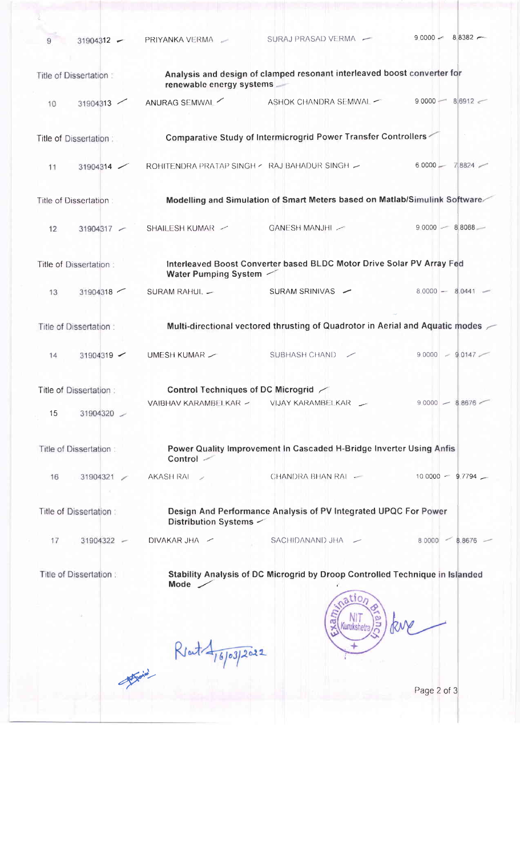| $31904312 -$<br>9      | PRIYANKA VERMA -                              | SURAJ PRASAD VERMA                                                                                                  | $90000 - 88382 -$  |
|------------------------|-----------------------------------------------|---------------------------------------------------------------------------------------------------------------------|--------------------|
| Title of Dissertation: | renewable energy systems                      | Analysis and design of clamped resonant interleaved boost converter for                                             |                    |
| 31904313<br>10         | ANURAG SEMWAL                                 | ASHOK CHANDRA SEMWAL -                                                                                              | $90000 - 86912$    |
| Title of Dissertation: |                                               | Comparative Study of Intermicrogrid Power Transfer Controllers                                                      |                    |
| 31904314<br>11         | ROHITENDRA PRATAP SINGH < RAJ BAHADUR SINGH ~ |                                                                                                                     | $60000 -$<br>78824 |
| Title of Dissertation: |                                               | Modelling and Simulation of Smart Meters based on Matlab/Simulink Software                                          |                    |
| 12<br>31904317 -       | SHAILESH KUMAR /                              | GANESH MANJHI                                                                                                       | $90000 - 88088$    |
| Title of Dissertation: | Water Pumping System                          | Interleaved Boost Converter based BLDC Motor Drive Solar PV Array Fed                                               |                    |
| 31904318<br>13         | SURAM RAHUL. -                                | SURAM SRINIVAS -                                                                                                    | $80000 - 80441$    |
| Title of Dissertation: |                                               | Multi-directional vectored thrusting of Quadrotor in Aerial and Aquatic modes $\angle$                              |                    |
| 31904319<br>14         | UMESH KUMAR $\sim$                            | SUBHASH CHAND                                                                                                       | $90000 - 90147$    |
| Title of Dissertation: | Control Techniques of DC Microgrid /          |                                                                                                                     |                    |
| 15<br>31904320         | VAIBHAV KARAMBELKAR ~                         | VIJAY KARAMBELKAR __                                                                                                | $90000 - 88676$    |
| Title of Dissertation: | Control -                                     | Power Quality Improvement In Cascaded H-Bridge Inverter Using Anfis                                                 |                    |
| 16<br>31904321         | AKASH RAI<br>$\sim$                           | CHANDRA BHAN RAI                                                                                                    | $100000 - 97794$   |
| Title of Dissertation: | Distribution Systems -                        | Design And Performance Analysis of PV Integrated UPQC For Power                                                     |                    |
| 17<br>31904322 -       | DIVAKAR JHA /                                 | SACHIDANAND JHA -                                                                                                   | $80000 - 88676 -$  |
| Title of Dissertation: | Mode $\angle$                                 | Stability Analysis of DC Microgrid by Droop Controlled Technique in Islanded<br>$a$ tio <sub>n</sub><br>Kurukshetra |                    |
|                        | RJout 476/03/2022                             |                                                                                                                     |                    |
|                        |                                               |                                                                                                                     | Page 2 of 3        |
|                        |                                               |                                                                                                                     |                    |